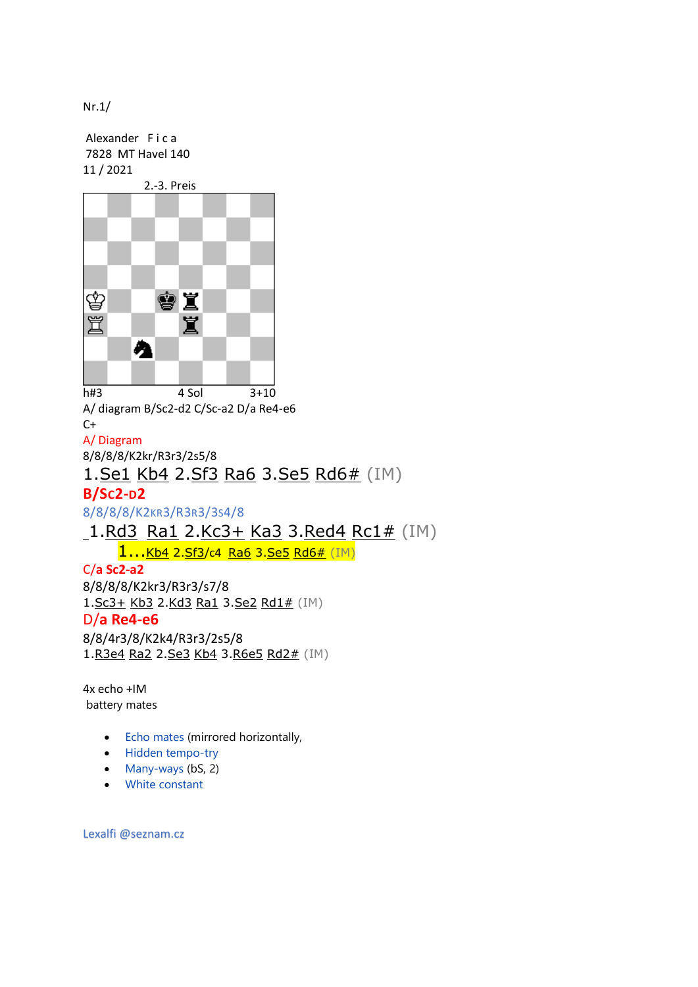Nr.1/

Alexander F i c a 7828 MT Havel 140 11 / 2021



A/ diagram B/Sc2-d2 C/Sc-a2 D/a Re4-e6  $C+$ A/ Diagram 8/8/8/8/K2kr/R3r3/2s5/8 1[.Se1](http://helpman.komtera.lt/) [Kb4](http://helpman.komtera.lt/) 2[.Sf3](http://helpman.komtera.lt/) [Ra6](http://helpman.komtera.lt/) 3[.Se5](http://helpman.komtera.lt/) [Rd6#](http://helpman.komtera.lt/) (IM)

## **B/SC2-D2**

8/8/8/8/K2KR3/R3R3/3S4/8

[1.Rd3](http://helpman.komtera.lt/) [Ra1](http://helpman.komtera.lt/) 2[.Kc3+](http://helpman.komtera.lt/) [Ka3](http://helpman.komtera.lt/) 3[.Red4](http://helpman.komtera.lt/) [Rc1#](http://helpman.komtera.lt/) (IM)

1...[Kb4](http://helpman.komtera.lt/) 2[.Sf3](http://helpman.komtera.lt/)/c4 [Ra6](http://helpman.komtera.lt/) 3[.Se5](http://helpman.komtera.lt/) [Rd6#](http://helpman.komtera.lt/) (IM)

C/**a Sc2-a2** 8/8/8/8/K2kr3/R3r3/s7/8 1[.Sc3+](http://helpman.komtera.lt/) [Kb3](http://helpman.komtera.lt/) 2[.Kd3](http://helpman.komtera.lt/) [Ra1](http://helpman.komtera.lt/) 3[.Se2](http://helpman.komtera.lt/) [Rd1#](http://helpman.komtera.lt/) (IM) D/**a Re4-e6** 8/8/4r3/8/K2k4/R3r3/2s5/8 1[.R3e4](http://helpman.komtera.lt/) [Ra2](http://helpman.komtera.lt/) 2[.Se3](http://helpman.komtera.lt/) [Kb4](http://helpman.komtera.lt/) 3[.R6e5](http://helpman.komtera.lt/) [Rd2#](http://helpman.komtera.lt/) (IM)

4x echo +IM battery mates

- [Echo mates](http://helpman.komtera.lt/definition/Echo_mates) (mirrored horizontally,
- [Hidden tempo-try](http://helpman.komtera.lt/definition/Hidden_tempo-try)
- [Many-ways](http://helpman.komtera.lt/definition/Many-ways) (bS, 2)
- [White constant](http://helpman.komtera.lt/definition/White_constant)

Lexalfi @seznam.cz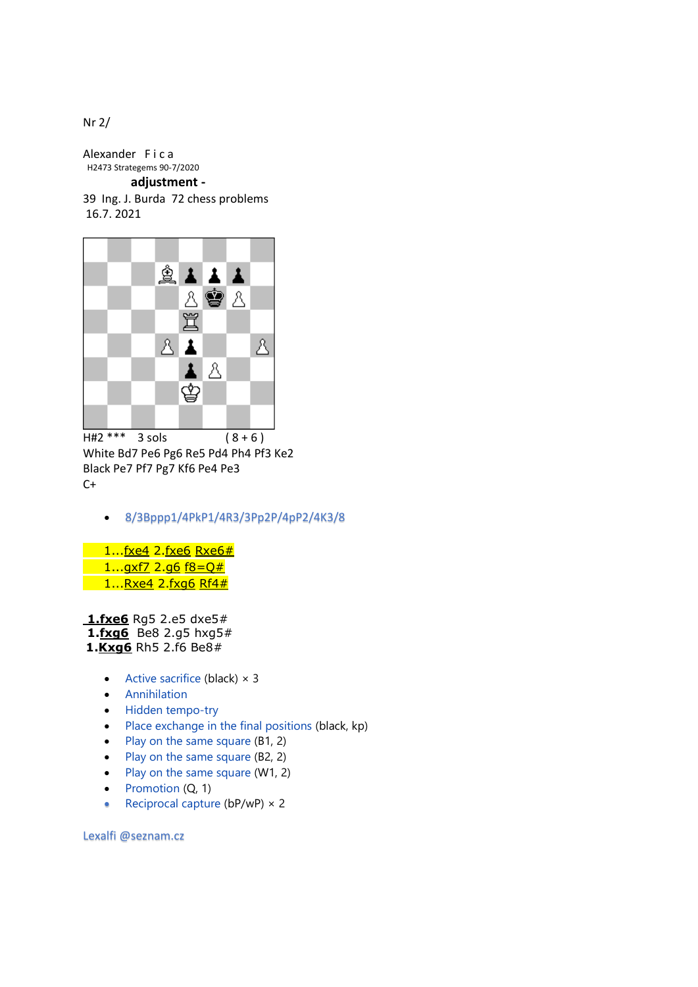Nr 2/

Alexander Fica H2473 Strategems 90-7/2020

 **adjustment -**

39 Ing. J. Burda 72 chess problems 16.7. 2021



 $\overline{HH2***}$  3 sols (8+6) White Bd7 Pe6 Pg6 Re5 Pd4 Ph4 Pf3 Ke2 Black Pe7 Pf7 Pg7 Kf6 Pe4 Pe3  $C+$ 

• 8/3Bppp1/4PkP1/4R3/3Pp2P/4pP2/4K3/8

 $1...$ fxe4 2[.fxe6](http://helpman.komtera.lt/) [Rxe6#](http://helpman.komtera.lt/) 1..[.gxf7](http://helpman.komtera.lt/) 2[.g6](http://helpman.komtera.lt/) [f8=Q#](http://helpman.komtera.lt/)  $1...Rxe4$  $1...Rxe4$  2[.fxg6](http://helpman.komtera.lt/) [Rf4#](http://helpman.komtera.lt/)

**[1.fxe6](http://helpman.komtera.lt/)** [Rg5](http://helpman.komtera.lt/) 2[.e5](http://helpman.komtera.lt/) [dxe5#](http://helpman.komtera.lt/)

**1[.fxg6](http://helpman.komtera.lt/)** [Be8](http://helpman.komtera.lt/) 2[.g5](http://helpman.komtera.lt/) [hxg5#](http://helpman.komtera.lt/)

## **1[.Kxg6](http://helpman.komtera.lt/)** [Rh5](http://helpman.komtera.lt/) 2[.f6](http://helpman.komtera.lt/) [Be8#](http://helpman.komtera.lt/)

- [Active sacrifice](http://helpman.komtera.lt/definition/Active_sacrifice) (black)  $\times$  3
- [Annihilation](http://helpman.komtera.lt/definition/Annihilation)
- [Hidden tempo-try](http://helpman.komtera.lt/definition/Hidden_tempo-try)
- [Place exchange in the final positions](http://helpman.komtera.lt/definition/Place_exchange_in_the_final_positions) (black, kp)
- [Play on the same square](http://helpman.komtera.lt/definition/Play_on_the_same_square) (B1, 2)
- [Play on the same square](http://helpman.komtera.lt/definition/Play_on_the_same_square) (B2, 2)
- [Play on the same square](http://helpman.komtera.lt/definition/Play_on_the_same_square) (W1, 2)
- [Promotion](http://helpman.komtera.lt/definition/Promotion) (Q, 1)
- [Reciprocal capture](http://helpman.komtera.lt/definition/Reciprocal_capture) ( $bP/WP$ )  $\times$  2

Lexalfi @seznam.cz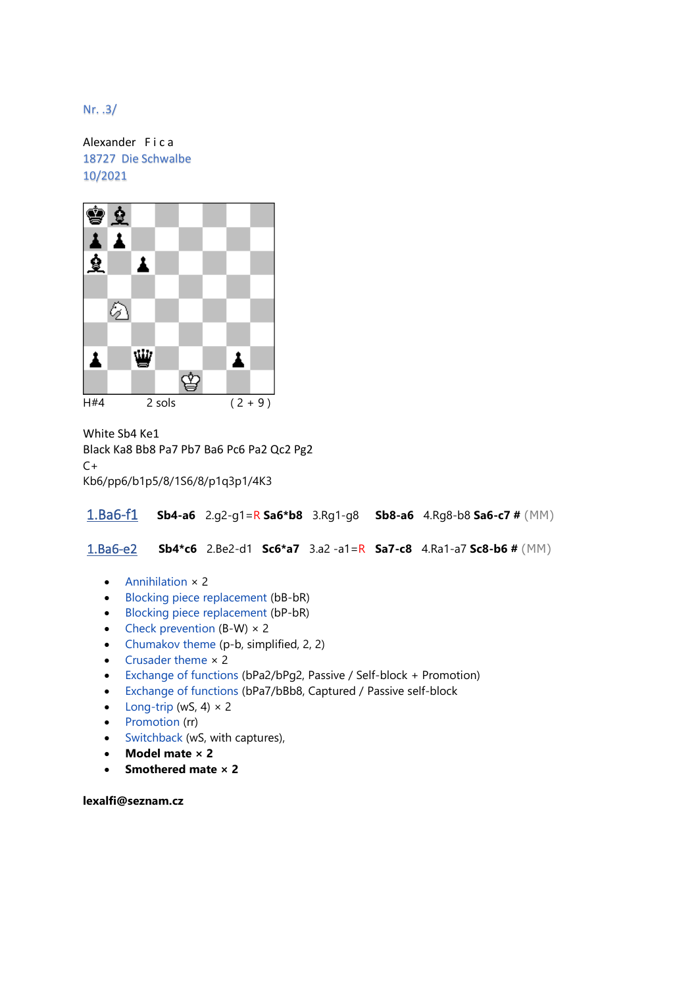Nr. .3/

Alexander F i c a 18727 Die Schwalbe 10/2021



White Sb4 Ke1

Black Ka8 Bb8 Pa7 Pb7 Ba6 Pc6 Pa2 Qc2 Pg2  $C+$ Kb6/pp6/b1p5/8/1S6/8/p1q3p1/4K3

1.Ba6-f1 **Sb4-a6** 2.g2-g1=R **Sa6\*b8** 3.Rg1-g8 **Sb8-a6** 4.Rg8-b8 **Sa6-c7 #** (MM)

1.Ba6-e2 **Sb4\*c6** 2.Be2-d1 **Sc6\*a7** 3.a2 -a1=R **Sa7-c8** 4.Ra1-a7 **Sc8-b6 #** (MM)

- [Annihilation](http://helpman.komtera.lt/definition/Annihilation) × 2
- [Blocking piece replacement](http://helpman.komtera.lt/definition/Blocking_piece_replacement) (bB-bR)
- [Blocking piece replacement](http://helpman.komtera.lt/definition/Blocking_piece_replacement) (bP-bR)
- [Check prevention](http://helpman.komtera.lt/definition/Check_prevention)  $(B-W) \times 2$
- [Chumakov theme](http://helpman.komtera.lt/definition/Chumakov_theme) (p-b, simplified, 2, 2)
- [Crusader theme](http://helpman.komtera.lt/definition/Crusader_theme) × 2
- [Exchange of functions](http://helpman.komtera.lt/definition/Exchange_of_functions) (bPa2/bPg2, Passive / Self-block + Promotion)
- [Exchange of functions](http://helpman.komtera.lt/definition/Exchange_of_functions) (bPa7/bBb8, Captured / Passive self-block
- [Long-trip](http://helpman.komtera.lt/definition/Long-trip) (wS, 4)  $\times$  2
- [Promotion](http://helpman.komtera.lt/definition/Promotion) (rr)
- [Switchback](http://helpman.komtera.lt/definition/Switchback) (wS, with captures),
- **Model mate × 2**
- **Smothered mate × 2**

**lexalfi@seznam.cz**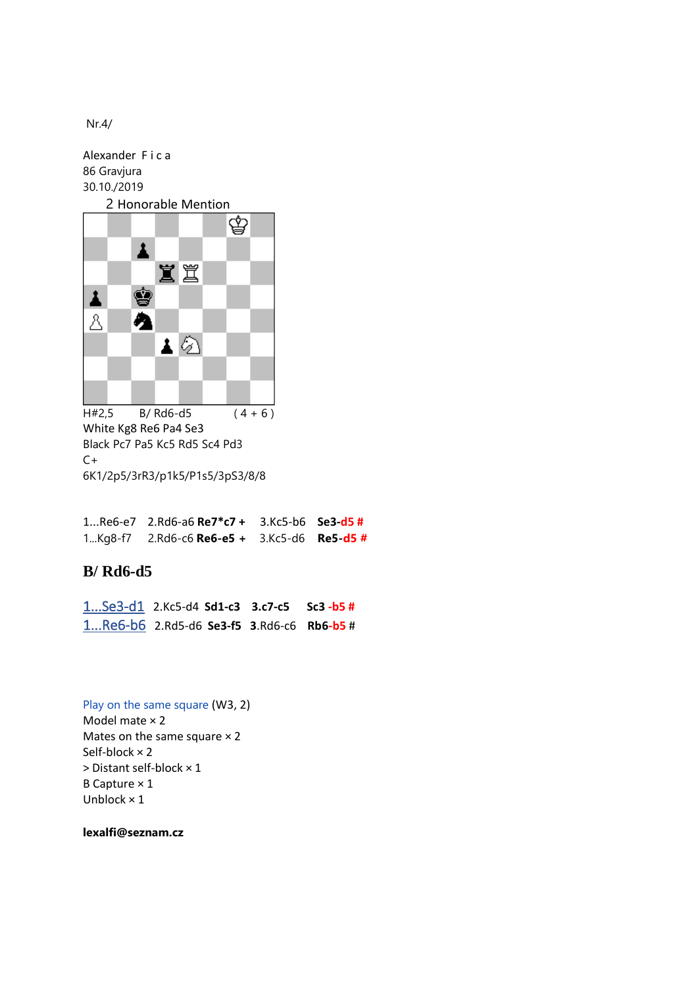Nr.4/

Alexander F i c a 86 Gravjura 30.10./2019



 $H#2,5$  B/ Rd6-d5 (4 + 6) White Kg8 Re6 Pa4 Se3 Black Pc7 Pa5 Kc5 Rd5 Sc4 Pd3  $C+$ 6K1/2p5/3rR3/p1k5/P1s5/3pS3/8/8

1...Re6-e7 2.Rd6-a6 **Re7\*c7 +** 3.Kc5-b6 **Se3-d5 #** 1...Kg8-f7 2.Rd6-c6 **Re6-e5 +** 3.Kc5-d6 **Re5-d5 #**

## **B/ Rd6-d5**

1...Se3-d1 2.Kc5-d4 **Sd1-c3 3.c7-c5 Sc3 -b5 #** 1...Re6-b6 2.Rd5-d6 **Se3-f5 3**.Rd6-c6 **Rb6-b5** #

[Play on the same square](http://helpman.komtera.lt/definition/Play_on_the_same_square) (W3, 2) Model mate × 2 Mates on the same square  $\times$  2 Self-block × 2 > Distant self-block × 1 B Capture × 1 Unblock × 1

**lexalfi@seznam.cz**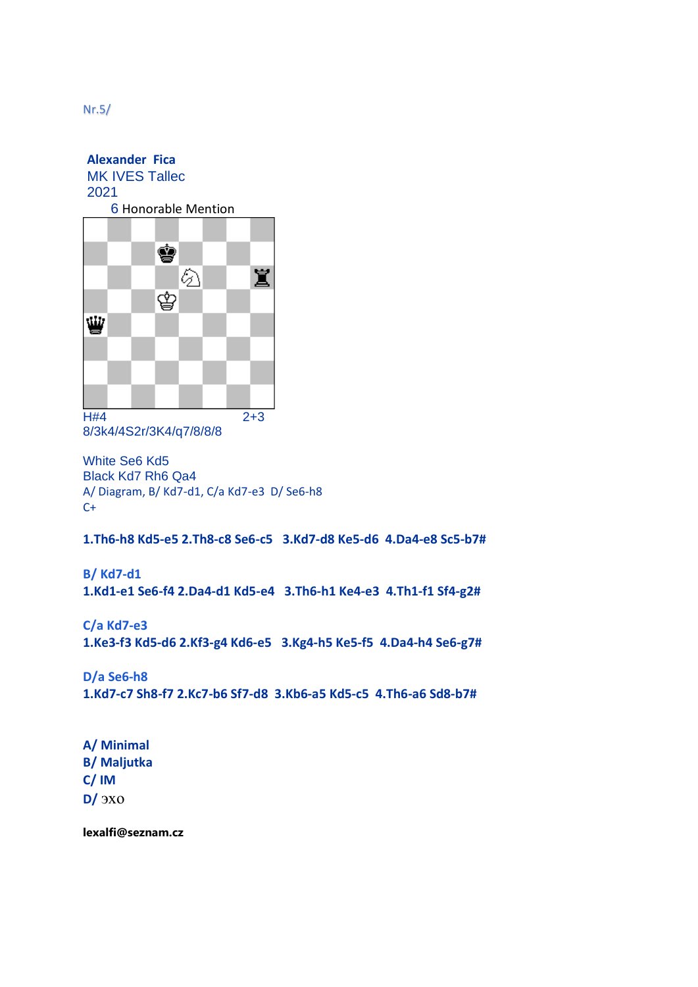**Alexander Fica** MK IVES Tallec 2021 6 Honorable Mention



8/3k4/4S2r/3K4/q7/8/8/8

White Se6 Kd5 Black Kd7 Rh6 Qa4 A/ Diagram, B/ Kd7-d1, C/a Kd7-e3 D/ Se6-h8  $C+$ 

**1.Th6-h8 Kd5-e5 2.Th8-c8 Se6-c5 3.Kd7-d8 Ke5-d6 4.Da4-e8 Sc5-b7#**

**B/ Kd7-d1 1.Kd1-e1 Se6-f4 2.Da4-d1 Kd5-e4 3.Th6-h1 Ke4-e3 4.Th1-f1 Sf4-g2#**

**C/a Kd7-e3 1.Ke3-f3 Kd5-d6 2.Kf3-g4 Kd6-e5 3.Kg4-h5 Ke5-f5 4.Da4-h4 Se6-g7#**

**D/a Se6-h8 1.Kd7-c7 Sh8-f7 2.Kc7-b6 Sf7-d8 3.Kb6-a5 Kd5-c5 4.Th6-a6 Sd8-b7#**

**A/ Minimal B/ Maljutka C/ IM D/** эхо

**lexalfi@seznam.cz**

Nr.5/